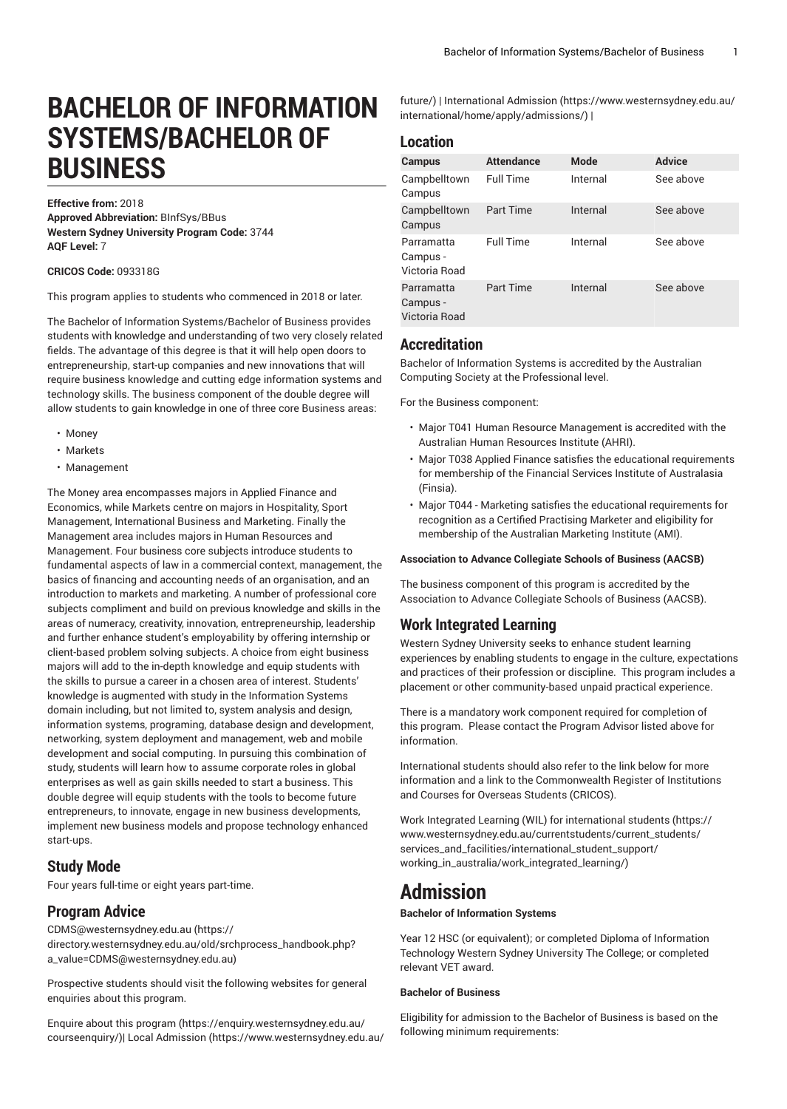# **BACHELOR OF INFORMATION SYSTEMS/BACHELOR OF BUSINESS**

**Effective from:** 2018 **Approved Abbreviation:** BInfSys/BBus **Western Sydney University Program Code:** 3744 **AQF Level:** 7

**CRICOS Code:** 093318G

This program applies to students who commenced in 2018 or later.

The Bachelor of Information Systems/Bachelor of Business provides students with knowledge and understanding of two very closely related fields. The advantage of this degree is that it will help open doors to entrepreneurship, start-up companies and new innovations that will require business knowledge and cutting edge information systems and technology skills. The business component of the double degree will allow students to gain knowledge in one of three core Business areas:

- Money
- Markets
- Management

The Money area encompasses majors in Applied Finance and Economics, while Markets centre on majors in Hospitality, Sport Management, International Business and Marketing. Finally the Management area includes majors in Human Resources and Management. Four business core subjects introduce students to fundamental aspects of law in a commercial context, management, the basics of financing and accounting needs of an organisation, and an introduction to markets and marketing. A number of professional core subjects compliment and build on previous knowledge and skills in the areas of numeracy, creativity, innovation, entrepreneurship, leadership and further enhance student's employability by offering internship or client-based problem solving subjects. A choice from eight business majors will add to the in-depth knowledge and equip students with the skills to pursue a career in a chosen area of interest. Students' knowledge is augmented with study in the Information Systems domain including, but not limited to, system analysis and design, information systems, programing, database design and development, networking, system deployment and management, web and mobile development and social computing. In pursuing this combination of study, students will learn how to assume corporate roles in global enterprises as well as gain skills needed to start a business. This double degree will equip students with the tools to become future entrepreneurs, to innovate, engage in new business developments, implement new business models and propose technology enhanced start-ups.

## **Study Mode**

Four years full-time or eight years part-time.

## **Program Advice**

[CDMS@westernsydney.edu.au \(https://](https://directory.westernsydney.edu.au/old/srchprocess_handbook.php?a_value=CDMS@westernsydney.edu.au) [directory.westernsydney.edu.au/old/srchprocess\\_handbook.php?](https://directory.westernsydney.edu.au/old/srchprocess_handbook.php?a_value=CDMS@westernsydney.edu.au) [a\\_value=CDMS@westernsydney.edu.au](https://directory.westernsydney.edu.au/old/srchprocess_handbook.php?a_value=CDMS@westernsydney.edu.au))

Prospective students should visit the following websites for general enquiries about this program.

Enquire about this [program \(https://enquiry.westernsydney.edu.au/](https://enquiry.westernsydney.edu.au/courseenquiry/) [courseenquiry/](https://enquiry.westernsydney.edu.au/courseenquiry/))| [Local Admission \(https://www.westernsydney.edu.au/](https://www.westernsydney.edu.au/future/) [future/](https://www.westernsydney.edu.au/future/)) | [International Admission \(https://www.westernsydney.edu.au/](https://www.westernsydney.edu.au/international/home/apply/admissions/) [international/home/apply/admissions/](https://www.westernsydney.edu.au/international/home/apply/admissions/)) |

## **Location**

| Campus                                  | <b>Attendance</b> | <b>Mode</b> | <b>Advice</b> |
|-----------------------------------------|-------------------|-------------|---------------|
| Campbelltown<br>Campus                  | <b>Full Time</b>  | Internal    | See above     |
| Campbelltown<br>Campus                  | Part Time         | Internal    | See above     |
| Parramatta<br>Campus -<br>Victoria Road | <b>Full Time</b>  | Internal    | See above     |
| Parramatta<br>Campus -<br>Victoria Road | <b>Part Time</b>  | Internal    | See above     |

## **Accreditation**

Bachelor of Information Systems is accredited by the Australian Computing Society at the Professional level.

For the Business component:

- Major T041 Human Resource Management is accredited with the Australian Human Resources Institute (AHRI).
- Major T038 Applied Finance satisfies the educational requirements for membership of the Financial Services Institute of Australasia (Finsia).
- Major T044 Marketing satisfies the educational requirements for recognition as a Certified Practising Marketer and eligibility for membership of the Australian Marketing Institute (AMI).

#### **Association to Advance Collegiate Schools of Business (AACSB)**

The business component of this program is accredited by the Association to Advance Collegiate Schools of Business (AACSB).

## **Work Integrated Learning**

Western Sydney University seeks to enhance student learning experiences by enabling students to engage in the culture, expectations and practices of their profession or discipline. This program includes a placement or other community-based unpaid practical experience.

There is a mandatory work component required for completion of this program. Please contact the Program Advisor listed above for information.

International students should also refer to the link below for more information and a link to the Commonwealth Register of Institutions and Courses for Overseas Students (CRICOS).

Work Integrated Learning (WIL) for [international](https://www.westernsydney.edu.au/currentstudents/current_students/services_and_facilities/international_student_support/working_in_australia/work_integrated_learning/) students ([https://](https://www.westernsydney.edu.au/currentstudents/current_students/services_and_facilities/international_student_support/working_in_australia/work_integrated_learning/) [www.westernsydney.edu.au/currentstudents/current\\_students/](https://www.westernsydney.edu.au/currentstudents/current_students/services_and_facilities/international_student_support/working_in_australia/work_integrated_learning/) [services\\_and\\_facilities/international\\_student\\_support/](https://www.westernsydney.edu.au/currentstudents/current_students/services_and_facilities/international_student_support/working_in_australia/work_integrated_learning/) [working\\_in\\_australia/work\\_integrated\\_learning/](https://www.westernsydney.edu.au/currentstudents/current_students/services_and_facilities/international_student_support/working_in_australia/work_integrated_learning/))

## **Admission**

### **Bachelor of Information Systems**

Year 12 HSC (or equivalent); or completed Diploma of Information Technology Western Sydney University The College; or completed relevant VET award.

## **Bachelor of Business**

Eligibility for admission to the Bachelor of Business is based on the following minimum requirements: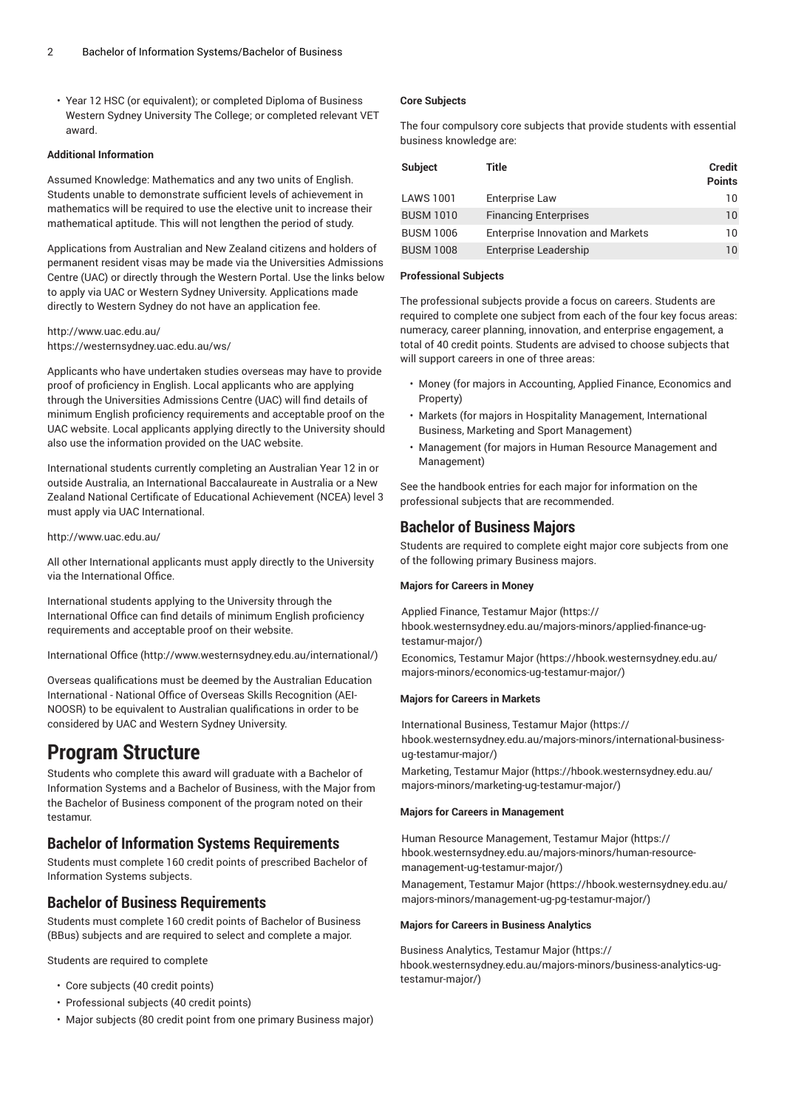• Year 12 HSC (or equivalent); or completed Diploma of Business Western Sydney University The College; or completed relevant VET award.

#### **Additional Information**

Assumed Knowledge: Mathematics and any two units of English. Students unable to demonstrate sufficient levels of achievement in mathematics will be required to use the elective unit to increase their mathematical aptitude. This will not lengthen the period of study.

Applications from Australian and New Zealand citizens and holders of permanent resident visas may be made via the Universities Admissions Centre (UAC) or directly through the Western Portal. Use the links below to apply via UAC or Western Sydney University. Applications made directly to Western Sydney do not have an application fee.

### <http://www.uac.edu.au/> <https://westernsydney.uac.edu.au/ws/>

Applicants who have undertaken studies overseas may have to provide proof of proficiency in English. Local applicants who are applying through the Universities Admissions Centre (UAC) will find details of minimum English proficiency requirements and acceptable proof on the UAC website. Local applicants applying directly to the University should also use the information provided on the UAC website.

International students currently completing an Australian Year 12 in or outside Australia, an International Baccalaureate in Australia or a New Zealand National Certificate of Educational Achievement (NCEA) level 3 must apply via UAC International.

#### <http://www.uac.edu.au/>

All other International applicants must apply directly to the University via the International Office.

International students applying to the University through the International Office can find details of minimum English proficiency requirements and acceptable proof on their website.

[International Office \(http://www.westernsydney.edu.au/international/\)](http://www.westernsydney.edu.au/international/)

Overseas qualifications must be deemed by the Australian Education International - National Office of Overseas Skills Recognition (AEI-NOOSR) to be equivalent to Australian qualifications in order to be considered by UAC and Western Sydney University.

## **Program Structure**

Students who complete this award will graduate with a Bachelor of Information Systems and a Bachelor of Business, with the Major from the Bachelor of Business component of the program noted on their testamur.

## **Bachelor of Information Systems Requirements**

Students must complete 160 credit points of prescribed Bachelor of Information Systems subjects.

## **Bachelor of Business Requirements**

Students must complete 160 credit points of Bachelor of Business (BBus) subjects and are required to select and complete a major.

Students are required to complete

- Core subjects (40 credit points)
- Professional subjects (40 credit points)
- Major subjects (80 credit point from one primary Business major)

## **Core Subjects**

The four compulsory core subjects that provide students with essential business knowledge are:

| <b>Subject</b>   | Title                                    | <b>Credit</b><br><b>Points</b> |
|------------------|------------------------------------------|--------------------------------|
| <b>LAWS 1001</b> | Enterprise Law                           | 10                             |
| <b>BUSM 1010</b> | <b>Financing Enterprises</b>             | 10                             |
| <b>BUSM 1006</b> | <b>Enterprise Innovation and Markets</b> | 10                             |
| <b>BUSM 1008</b> | Enterprise Leadership                    | 10                             |

#### **Professional Subjects**

The professional subjects provide a focus on careers. Students are required to complete one subject from each of the four key focus areas: numeracy, career planning, innovation, and enterprise engagement, a total of 40 credit points. Students are advised to choose subjects that will support careers in one of three areas:

- Money (for majors in Accounting, Applied Finance, Economics and Property)
- Markets (for majors in Hospitality Management, International Business, Marketing and Sport Management)
- Management (for majors in Human Resource Management and Management)

See the handbook entries for each major for information on the professional subjects that are recommended.

## **Bachelor of Business Majors**

Students are required to complete eight major core subjects from one of the following primary Business majors.

#### **Majors for Careers in Money**

Applied Finance, [Testamur](https://hbook.westernsydney.edu.au/majors-minors/applied-finance-ug-testamur-major/) Major ([https://](https://hbook.westernsydney.edu.au/majors-minors/applied-finance-ug-testamur-major/) [hbook.westernsydney.edu.au/majors-minors/applied-finance-ug](https://hbook.westernsydney.edu.au/majors-minors/applied-finance-ug-testamur-major/)[testamur-major/](https://hbook.westernsydney.edu.au/majors-minors/applied-finance-ug-testamur-major/))

[Economics,](https://hbook.westernsydney.edu.au/majors-minors/economics-ug-testamur-major/) Testamur Major [\(https://hbook.westernsydney.edu.au/](https://hbook.westernsydney.edu.au/majors-minors/economics-ug-testamur-major/) [majors-minors/economics-ug-testamur-major/](https://hbook.westernsydney.edu.au/majors-minors/economics-ug-testamur-major/))

#### **Majors for Careers in Markets**

[International](https://hbook.westernsydney.edu.au/majors-minors/international-business-ug-testamur-major/) Business, Testamur Major ([https://](https://hbook.westernsydney.edu.au/majors-minors/international-business-ug-testamur-major/) [hbook.westernsydney.edu.au/majors-minors/international-business](https://hbook.westernsydney.edu.au/majors-minors/international-business-ug-testamur-major/)[ug-testamur-major/](https://hbook.westernsydney.edu.au/majors-minors/international-business-ug-testamur-major/))

[Marketing,](https://hbook.westernsydney.edu.au/majors-minors/marketing-ug-testamur-major/) Testamur Major ([https://hbook.westernsydney.edu.au/](https://hbook.westernsydney.edu.au/majors-minors/marketing-ug-testamur-major/) [majors-minors/marketing-ug-testamur-major/](https://hbook.westernsydney.edu.au/majors-minors/marketing-ug-testamur-major/))

#### **Majors for Careers in Management**

Human Resource [Management,](https://hbook.westernsydney.edu.au/majors-minors/human-resource-management-ug-testamur-major/) Testamur Major ([https://](https://hbook.westernsydney.edu.au/majors-minors/human-resource-management-ug-testamur-major/) [hbook.westernsydney.edu.au/majors-minors/human-resource](https://hbook.westernsydney.edu.au/majors-minors/human-resource-management-ug-testamur-major/)[management-ug-testamur-major/](https://hbook.westernsydney.edu.au/majors-minors/human-resource-management-ug-testamur-major/))

[Management,](https://hbook.westernsydney.edu.au/majors-minors/management-ug-pg-testamur-major/) Testamur Major ([https://hbook.westernsydney.edu.au/](https://hbook.westernsydney.edu.au/majors-minors/management-ug-pg-testamur-major/) [majors-minors/management-ug-pg-testamur-major/\)](https://hbook.westernsydney.edu.au/majors-minors/management-ug-pg-testamur-major/)

#### **Majors for Careers in Business Analytics**

Business [Analytics,](https://hbook.westernsydney.edu.au/majors-minors/business-analytics-ug-testamur-major/) Testamur Major ([https://](https://hbook.westernsydney.edu.au/majors-minors/business-analytics-ug-testamur-major/) [hbook.westernsydney.edu.au/majors-minors/business-analytics-ug](https://hbook.westernsydney.edu.au/majors-minors/business-analytics-ug-testamur-major/)[testamur-major/](https://hbook.westernsydney.edu.au/majors-minors/business-analytics-ug-testamur-major/))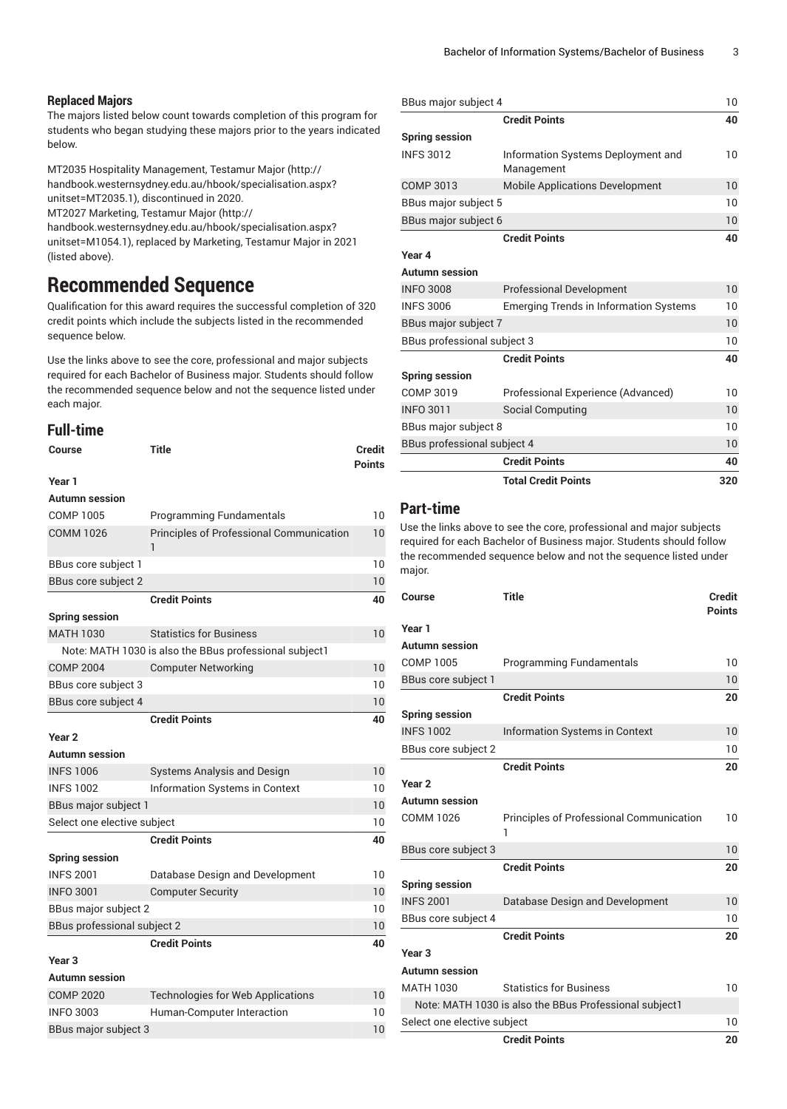### **Replaced Majors**

The majors listed below count towards completion of this program for students who began studying these majors prior to the years indicated below.

MT2035 Hospitality [Management,](http://handbook.westernsydney.edu.au/hbook/specialisation.aspx?unitset=MT2035.1) Testamur Major [\(http://](http://handbook.westernsydney.edu.au/hbook/specialisation.aspx?unitset=MT2035.1) [handbook.westernsydney.edu.au/hbook/specialisation.aspx?](http://handbook.westernsydney.edu.au/hbook/specialisation.aspx?unitset=MT2035.1) [unitset=MT2035.1\)](http://handbook.westernsydney.edu.au/hbook/specialisation.aspx?unitset=MT2035.1), discontinued in 2020.

MT2027 [Marketing,](http://handbook.westernsydney.edu.au/hbook/specialisation.aspx?unitset=M1054.1) Testamur Major ([http://](http://handbook.westernsydney.edu.au/hbook/specialisation.aspx?unitset=M1054.1)

[handbook.westernsydney.edu.au/hbook/specialisation.aspx?](http://handbook.westernsydney.edu.au/hbook/specialisation.aspx?unitset=M1054.1) [unitset=M1054.1](http://handbook.westernsydney.edu.au/hbook/specialisation.aspx?unitset=M1054.1)), replaced by Marketing, Testamur Major in 2021 (listed above).

## **Recommended Sequence**

Qualification for this award requires the successful completion of 320 credit points which include the subjects listed in the recommended sequence below.

Use the links above to see the core, professional and major subjects required for each Bachelor of Business major. Students should follow the recommended sequence below and not the sequence listed under each major.

## **Full-time**

| Course                             | <b>Title</b>                                           | <b>Credit</b><br><b>Points</b> |
|------------------------------------|--------------------------------------------------------|--------------------------------|
| Year 1                             |                                                        |                                |
| Autumn session                     |                                                        |                                |
| COMP 1005                          | <b>Programming Fundamentals</b>                        | 10                             |
| <b>COMM 1026</b>                   | <b>Principles of Professional Communication</b><br>ı   | 10                             |
| BBus core subject 1                |                                                        | 10                             |
| BBus core subject 2                |                                                        | 10                             |
|                                    | <b>Credit Points</b>                                   | 40                             |
| <b>Spring session</b>              |                                                        |                                |
| <b>MATH 1030</b>                   | <b>Statistics for Business</b>                         | 10                             |
|                                    | Note: MATH 1030 is also the BBus professional subject1 |                                |
| <b>COMP 2004</b>                   | <b>Computer Networking</b>                             | 10                             |
| BBus core subject 3                |                                                        | 10                             |
| BBus core subject 4                |                                                        | 10                             |
|                                    | <b>Credit Points</b>                                   | 40                             |
| Year <sub>2</sub>                  |                                                        |                                |
| Autumn session                     |                                                        |                                |
| <b>INFS 1006</b>                   | <b>Systems Analysis and Design</b>                     | 10                             |
| <b>INFS 1002</b>                   | Information Systems in Context                         | 10                             |
| BBus major subject 1               |                                                        | 10                             |
| Select one elective subject        |                                                        | 10                             |
|                                    | <b>Credit Points</b>                                   | 40                             |
| <b>Spring session</b>              |                                                        |                                |
| <b>INFS 2001</b>                   | Database Design and Development                        | 10                             |
| <b>INFO 3001</b>                   | <b>Computer Security</b>                               | 10                             |
| BBus major subject 2               |                                                        | 10                             |
| <b>BBus professional subject 2</b> |                                                        | 10                             |
|                                    | <b>Credit Points</b>                                   | 40                             |
| Year <sub>3</sub>                  |                                                        |                                |
| <b>Autumn</b> session              |                                                        |                                |
| <b>COMP 2020</b>                   | <b>Technologies for Web Applications</b>               | 10                             |
| <b>INFO 3003</b>                   | Human-Computer Interaction                             | 10                             |
| BBus major subject 3               |                                                        | 10                             |

| BBus major subject 4        |                                                  | 10  |
|-----------------------------|--------------------------------------------------|-----|
|                             | <b>Credit Points</b>                             | 40  |
| <b>Spring session</b>       |                                                  |     |
| <b>INFS 3012</b>            | Information Systems Deployment and<br>Management | 10  |
| <b>COMP 3013</b>            | <b>Mobile Applications Development</b>           | 10  |
| BBus major subject 5        |                                                  | 10  |
| BBus major subject 6        |                                                  | 10  |
|                             | <b>Credit Points</b>                             | 40  |
| Year 4                      |                                                  |     |
| Autumn session              |                                                  |     |
| <b>INFO 3008</b>            | <b>Professional Development</b>                  | 10  |
| <b>INFS 3006</b>            | <b>Emerging Trends in Information Systems</b>    | 10  |
| BBus major subject 7        |                                                  | 10  |
| BBus professional subject 3 |                                                  | 10  |
|                             | <b>Credit Points</b>                             | 40  |
| <b>Spring session</b>       |                                                  |     |
| COMP 3019                   | Professional Experience (Advanced)               | 10  |
| <b>INFO 3011</b>            | Social Computing                                 | 10  |
| BBus major subject 8        |                                                  | 10  |
| BBus professional subject 4 |                                                  | 10  |
|                             | <b>Credit Points</b>                             | 40  |
|                             | <b>Total Credit Points</b>                       | 320 |
|                             |                                                  |     |

## **Part-time**

Use the links above to see the core, professional and major subjects required for each Bachelor of Business major. Students should follow the recommended sequence below and not the sequence listed under major.

| Course                      | <b>Title</b>                                           | <b>Credit</b><br><b>Points</b> |
|-----------------------------|--------------------------------------------------------|--------------------------------|
| Year 1                      |                                                        |                                |
| <b>Autumn session</b>       |                                                        |                                |
| <b>COMP 1005</b>            | <b>Programming Fundamentals</b>                        | 10                             |
| BBus core subject 1         |                                                        | 10                             |
|                             | <b>Credit Points</b>                                   | 20                             |
| <b>Spring session</b>       |                                                        |                                |
| <b>INFS 1002</b>            | <b>Information Systems in Context</b>                  | 10                             |
| BBus core subject 2         |                                                        | 10                             |
|                             | <b>Credit Points</b>                                   | 20                             |
| Year <sub>2</sub>           |                                                        |                                |
| <b>Autumn session</b>       |                                                        |                                |
| <b>COMM 1026</b>            | <b>Principles of Professional Communication</b><br>1   | 10                             |
| BBus core subject 3         |                                                        | 10                             |
|                             | <b>Credit Points</b>                                   | 20                             |
| <b>Spring session</b>       |                                                        |                                |
| <b>INFS 2001</b>            | Database Design and Development                        | 10                             |
| BBus core subject 4         |                                                        | 10                             |
|                             | <b>Credit Points</b>                                   | 20                             |
| Year <sub>3</sub>           |                                                        |                                |
| <b>Autumn session</b>       |                                                        |                                |
| <b>MATH 1030</b>            | <b>Statistics for Business</b>                         | 10                             |
|                             | Note: MATH 1030 is also the BBus Professional subject1 |                                |
| Select one elective subject |                                                        | 10                             |
|                             | <b>Credit Points</b>                                   | 20                             |